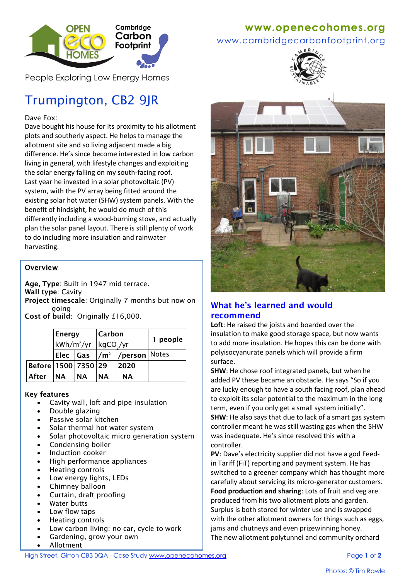

People Exploring Low Energy Homes

# Trumpington, CB2 9JR

Dave Fox:

Dave bought his house for its proximity to his allotment plots and southerly aspect. He helps to manage the allotment site and so living adjacent made a big difference. He's since become interested in low carbon living in general, with lifestyle changes and exploiting the solar energy falling on my south-facing roof. Last year he invested in a solar photovoltaic (PV) system, with the PV array being fitted around the existing solar hot water (SHW) system panels. With the benefit of hindsight, he would do much of this differently including a wood-burning stove, and actually plan the solar panel layout. There is still plenty of work to do including more insulation and rainwater harvesting.

#### **Overview**

**Age, Type**: Built in 1947 mid terrace. **Wall type**: Cavity **Project timescale**: Originally 7 months but now on going

**Cost of build**: Originally £16,000.

|                           | Energy                 |      | Carbon                |                                              | 1 people |
|---------------------------|------------------------|------|-----------------------|----------------------------------------------|----------|
|                           | kWh/m <sup>2</sup> /yr |      | kgCO <sub>2</sub> /yr |                                              |          |
|                           |                        |      |                       | Elec   Gas  /m <sup>2</sup>  /person   Notes |          |
| Before   1500   7350   29 |                        |      |                       | 2020                                         |          |
| After                     | <b>NA</b>              | INA. | <b>NA</b>             | <b>NA</b>                                    |          |

#### **Key features**

- Cavity wall, loft and pipe insulation
- Double glazing
- Passive solar kitchen
- Solar thermal hot water system
- Solar photovoltaic micro generation system
- Condensing boiler
- Induction cooker
- High performance appliances
- Heating controls
- Low energy lights, LEDs
- Chimney balloon
- Curtain, draft proofing
- Water butts
- Low flow taps
- Heating controls
- Low carbon living: no car, cycle to work
- Gardening, grow your own
- Allotment

# **www[.openecohomes.org](http://www.openecohomes.org/)**

www.cambridgecarbonfootprint.org





## **What he's learned and would recommend**

Loft: He raised the joists and boarded over the insulation to make good storage space, but now wants to add more insulation. He hopes this can be done with polyisocyanurate panels which will provide a firm surface.

**SHW**: He chose roof integrated panels, but when he added PV these became an obstacle. He says "So if you are lucky enough to have a south facing roof, plan ahead to exploit its solar potential to the maximum in the long term, even if you only get a small system initially". **SHW**: He also says that due to lack of a smart gas system controller meant he was still wasting gas when the SHW was inadequate. He's since resolved this with a controller.

**PV**: Dave's electricity supplier did not have a god Feedin Tariff (FiT) reporting and payment system. He has switched to a greener company which has thought more carefully about servicing its micro-generator customers. **Food production and sharing**: Lots of fruit and veg are produced from his two allotment plots and garden. Surplus is both stored for winter use and is swapped with the other allotment owners for things such as eggs, jams and chutneys and even prizewinning honey. The new allotment polytunnel and community orchard